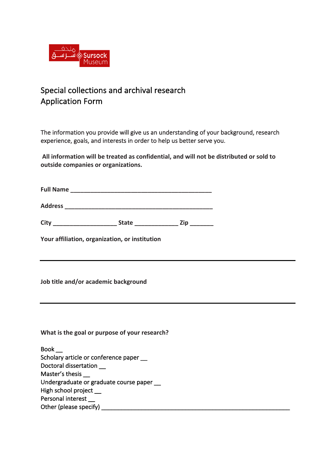

# Special collections and archival research **Application Form**

The information you provide will give us an understanding of your background, research experience, goals, and interests in order to help us better serve you.

All information will be treated as confidential, and will not be distributed or sold to **outside companies or organizations.** 

**Full Name \_\_\_\_\_\_\_\_\_\_\_\_\_\_\_\_\_\_\_\_\_\_\_\_\_\_\_\_\_\_\_\_\_\_\_\_\_\_\_\_\_\_**

**Address** 

| City |  | 'ır |  |
|------|--|-----|--|
|      |  |     |  |

Your affiliation, organization, or institution

**Job title and/or academic background** 

What is the goal or purpose of your research?

| <b>Book</b>                               |  |
|-------------------------------------------|--|
| Scholary article or conference paper      |  |
| Doctoral dissertation                     |  |
| Master's thesis                           |  |
| Undergraduate or graduate course paper __ |  |
| High school project                       |  |
| Personal interest                         |  |
| Other (please specify)                    |  |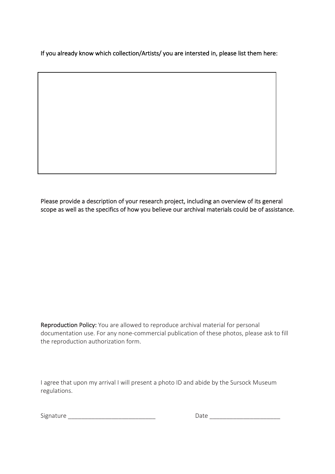If you already know which collection/Artists/ you are intersted in, please list them here:

Please provide a description of your research project, including an overview of its general scope as well as the specifics of how you believe our archival materials could be of assistance.

Reproduction Policy: You are allowed to reproduce archival material for personal documentation use. For any none-commercial publication of these photos, please ask to fill the reproduction authorization form.

I agree that upon my arrival I will present a photo ID and abide by the Sursock Museum regulations.

Date and the state of the state of the state of the state of the state of the state of the state of the state of the state of the state of the state of the state of the state of the state of the state of the state of the s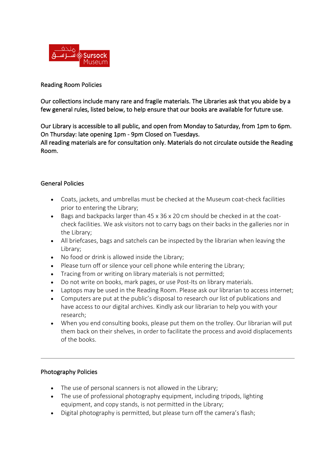

## Reading Room Policies

Our collections include many rare and fragile materials. The Libraries ask that you abide by a few general rules, listed below, to help ensure that our books are available for future use.

Our Library is accessible to all public, and open from Monday to Saturday, from 1pm to 6pm. On Thursday: late opening 1pm - 9pm Closed on Tuesdays.

All reading materials are for consultation only. Materials do not circulate outside the Reading Room. 

## General Policies

- Coats, jackets, and umbrellas must be checked at the Museum coat-check facilities prior to entering the Library;
- Bags and backpacks larger than  $45 \times 36 \times 20$  cm should be checked in at the coatcheck facilities. We ask visitors not to carry bags on their backs in the galleries nor in the Library;
- All briefcases, bags and satchels can be inspected by the librarian when leaving the Library;
- No food or drink is allowed inside the Library;
- Please turn off or silence your cell phone while entering the Library;
- Tracing from or writing on library materials is not permitted;
- Do not write on books, mark pages, or use Post-Its on library materials.
- Laptops may be used in the Reading Room. Please ask our librarian to access internet;
- Computers are put at the public's disposal to research our list of publications and have access to our digital archives. Kindly ask our librarian to help you with your research;
- When you end consulting books, please put them on the trolley. Our librarian will put them back on their shelves, in order to facilitate the process and avoid displacements of the books.

#### Photography Policies

- The use of personal scanners is not allowed in the Library;
- The use of professional photography equipment, including tripods, lighting equipment, and copy stands, is not permitted in the Library;
- Digital photography is permitted, but please turn off the camera's flash;